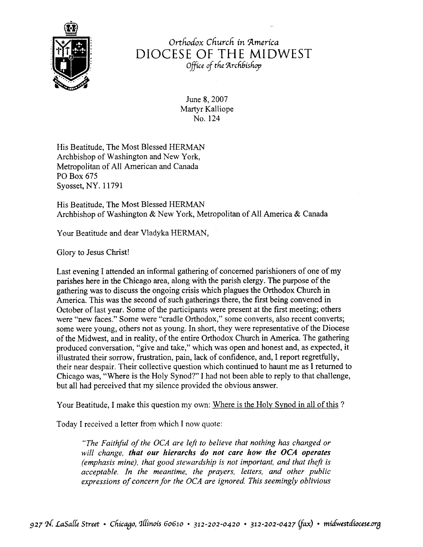

Orthodox Church in America DIOCESE OF THE MIDWEST Office of the Archbishop

> June 8, 2007 Martyr Kalliope No. 124

His Beatitude, The Most Blessed HERMAN Archbishop of Washington and New York, Metropolitan of All American and Canada PO Box 675 Syosset, NY. 11791

His Beatitude. The Most Blessed HERMAN Archbishop of Washington & New York, Metropolitan of All America & Canada

Your Beatitude and dear Vladyka HERMAN,

Glory to Jesus Christ!

Last evening I attended an informal gathering of concemed parishioners of one of my parishes here in the Chicago area, along with the parish clergy. The purpose of the gathering was to discuss the ongoing crisis which plagues the Orthodox Church in America. This was the second of such gatherings there, the first being convened in October of last year. Some of the participants were present at the first meeting; others were "new faces." Some were "cradle Orthodox," some converts, also recent converts; some were young, others not as young. In short, they were representative of the Diocese of the Midwest, and in reality, of the entire Orthodox Church in America. The gathering produced conversation, "give and take," which was open and honest and, as expected, it illustrated their sorrow, frustration, pain, lack of confidence, and, I report regretfully, their near despair. Their collective question which continued to haunt me as I returned to Chicago was, "'Where is the Holy Synod?" I had not been able to reply to that challenge, but all had perceived that my silence provided the obvious answer.

Your Beatitude, I make this question my own: Where is the Holy Synod in all of this ?

Today I received a letter from which I now quote:

"The Faithful of the OCA are left to believe that nothing has changed or will change, that our hierarchs do not care how the OCA operates (emphasis mine), that good stewardship is not important, and that theft is acceptable. In the meantime, the prayers, letters, and other public expressions of concern for the OCA are ignored. This seemingly oblivious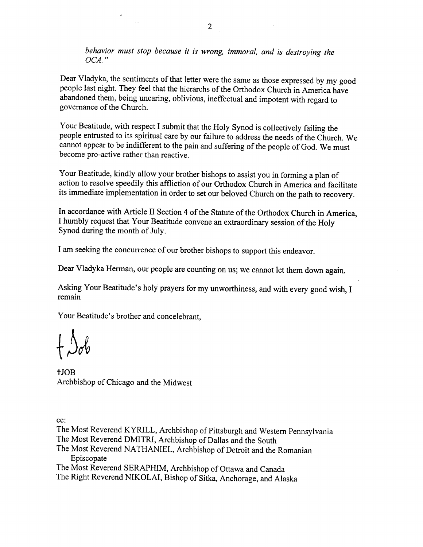behavior must stop because it is wrong, immoral, and is destroying the OCA. "

Dear Vladyka, the sentiments of that letter were the same as those expressed by my good people last night. They feel that the hierarchs of the Orthodox Church in America have abandoned them, being uncaring, oblivious, ineffectual and impotent with regard to governance of the Church.

Your Beatitude, with respect I submit that the Holy Synod is collectively failing the people entrusted to its spiritual care by our failure to address the needs of the Church. We cannot appear to be indifferent to the pain and suffering of the people of God. We must become pro-active rather than reactive.

Your Beatitude, kindly allow your brother bishops to assist you in forming a plan of action to resolve speedily this affliction of our Orthodox Church in America and facilitate its immediate implementation in order to set our beloved Church on the path to recovery.

In accordance with Article II Section 4 of the Statute of the Orthodox Church in America, I humbly request that Your Beatitude convene an extraordinary session of the Holy Synod during the month of July.

I am seeking the concurrence of our brother bishops to support this endeavor.

Dear Vladyka Herman, our people are counting on us; we cannot let them down again.

Asking Your Beatitude's holy prayers for my unworthiness, and with every good wish, I remain

Your Beatitude's brother and concelebrant.

 $f$  $\mathcal{S}_{ob}$ 

tJOB Archbishop of Chicago and the Midwest

cc:

The Most Reverend KYRILL, Archbishop of Pittsburgh and Western pennsylvania The Most Reverend DMITRI, Archbishop of Dallas and the South The Most Reverend NATHANIEL, Archbishop of Detroit and the Romanian Episcopate

The Most Reverend SERAPHIM, Archbishop of Ottawa and Canada

The Right Reverend NIKOLAI, Bishop of Sitka, Anchorage, and Alaska